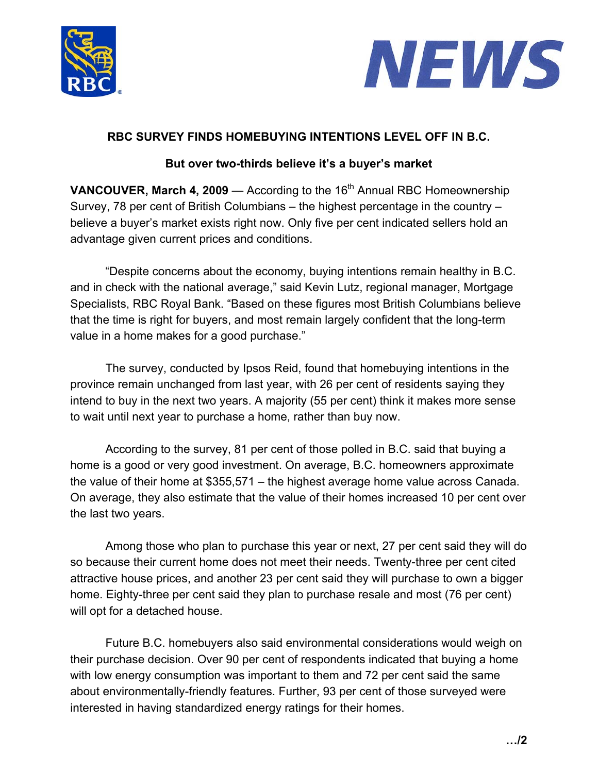



## **RBC SURVEY FINDS HOMEBUYING INTENTIONS LEVEL OFF IN B.C.**

## **But over two-thirds believe it's a buyer's market**

**VANCOUVER, March 4, 2009** — According to the 16<sup>th</sup> Annual RBC Homeownership Survey, 78 per cent of British Columbians – the highest percentage in the country – believe a buyer's market exists right now. Only five per cent indicated sellers hold an advantage given current prices and conditions.

"Despite concerns about the economy, buying intentions remain healthy in B.C. and in check with the national average," said Kevin Lutz, regional manager, Mortgage Specialists, RBC Royal Bank. "Based on these figures most British Columbians believe that the time is right for buyers, and most remain largely confident that the long-term value in a home makes for a good purchase."

The survey, conducted by Ipsos Reid, found that homebuying intentions in the province remain unchanged from last year, with 26 per cent of residents saying they intend to buy in the next two years. A majority (55 per cent) think it makes more sense to wait until next year to purchase a home, rather than buy now.

According to the survey, 81 per cent of those polled in B.C. said that buying a home is a good or very good investment. On average, B.C. homeowners approximate the value of their home at \$355,571 – the highest average home value across Canada. On average, they also estimate that the value of their homes increased 10 per cent over the last two years.

Among those who plan to purchase this year or next, 27 per cent said they will do so because their current home does not meet their needs. Twenty-three per cent cited attractive house prices, and another 23 per cent said they will purchase to own a bigger home. Eighty-three per cent said they plan to purchase resale and most (76 per cent) will opt for a detached house.

Future B.C. homebuyers also said environmental considerations would weigh on their purchase decision. Over 90 per cent of respondents indicated that buying a home with low energy consumption was important to them and 72 per cent said the same about environmentally-friendly features. Further, 93 per cent of those surveyed were interested in having standardized energy ratings for their homes.